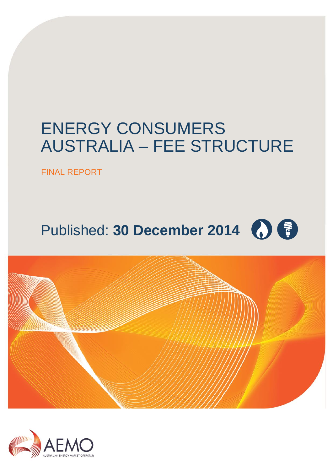# ENERGY CONSUMERS AUSTRALIA – FEE STRUCTURE

FINAL REPORT

# Published: **30 December 2014**



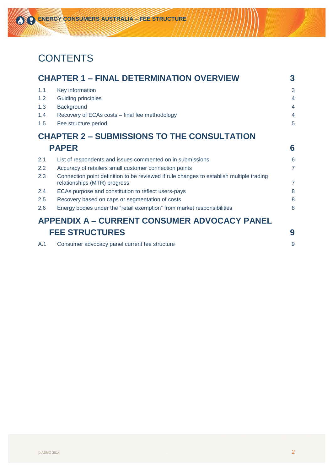# **CONTENTS**

|     | <b>CHAPTER 1 - FINAL DETERMINATION OVERVIEW</b>                                                                          | 3                        |
|-----|--------------------------------------------------------------------------------------------------------------------------|--------------------------|
| 1.1 | Key information                                                                                                          | 3                        |
| 1.2 | <b>Guiding principles</b>                                                                                                | $\overline{4}$           |
| 1.3 | Background                                                                                                               | $\overline{\mathcal{A}}$ |
| 1.4 | Recovery of ECAs costs – final fee methodology                                                                           | $\overline{4}$           |
| 1.5 | Fee structure period                                                                                                     | 5                        |
|     | <b>CHAPTER 2 - SUBMISSIONS TO THE CONSULTATION</b>                                                                       |                          |
|     | <b>PAPER</b>                                                                                                             | 6                        |
| 2.1 | List of respondents and issues commented on in submissions                                                               | 6                        |
| 2.2 | Accuracy of retailers small customer connection points                                                                   | $\overline{7}$           |
| 2.3 | Connection point definition to be reviewed if rule changes to establish multiple trading<br>relationships (MTR) progress | 7                        |
| 2.4 | ECAs purpose and constitution to reflect users-pays                                                                      | 8                        |
| 2.5 | Recovery based on caps or segmentation of costs                                                                          | 8                        |
| 2.6 | Energy bodies under the "retail exemption" from market responsibilities                                                  | 8                        |
|     | <b>APPENDIX A – CURRENT CONSUMER ADVOCACY PANEL</b>                                                                      |                          |
|     | <b>FEE STRUCTURES</b>                                                                                                    | 9                        |
| A.1 | Consumer advocacy panel current fee structure                                                                            | 9                        |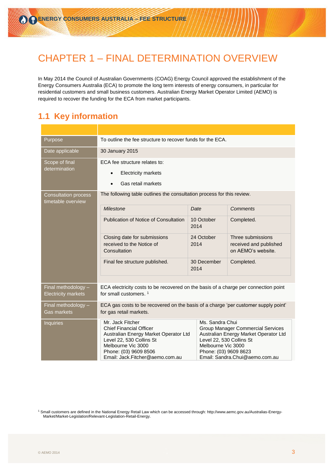## <span id="page-2-0"></span>CHAPTER 1 – FINAL DETERMINATION OVERVIEW

In May 2014 the Council of Australian Governments (COAG) Energy Council approved the establishment of the Energy Consumers Australia (ECA) to promote the long term interests of energy consumers, in particular for residential customers and small business customers. Australian Energy Market Operator Limited (AEMO) is required to recover the funding for the ECA from market participants.

#### <span id="page-2-1"></span>**1.1 Key information**

| Purpose                                           | To outline the fee structure to recover funds for the ECA.                                                                                                                                                                                                                                                                                                                                                                     |                     |  |                                                                   |  |  |
|---------------------------------------------------|--------------------------------------------------------------------------------------------------------------------------------------------------------------------------------------------------------------------------------------------------------------------------------------------------------------------------------------------------------------------------------------------------------------------------------|---------------------|--|-------------------------------------------------------------------|--|--|
| Date applicable                                   | 30 January 2015                                                                                                                                                                                                                                                                                                                                                                                                                |                     |  |                                                                   |  |  |
| Scope of final                                    | ECA fee structure relates to:                                                                                                                                                                                                                                                                                                                                                                                                  |                     |  |                                                                   |  |  |
| determination                                     | <b>Electricity markets</b><br>$\bullet$                                                                                                                                                                                                                                                                                                                                                                                        |                     |  |                                                                   |  |  |
|                                                   | Gas retail markets                                                                                                                                                                                                                                                                                                                                                                                                             |                     |  |                                                                   |  |  |
| <b>Consultation process</b><br>timetable overview | The following table outlines the consultation process for this review.                                                                                                                                                                                                                                                                                                                                                         |                     |  |                                                                   |  |  |
|                                                   | <b>Milestone</b>                                                                                                                                                                                                                                                                                                                                                                                                               | Date                |  | <b>Comments</b>                                                   |  |  |
|                                                   | Publication of Notice of Consultation                                                                                                                                                                                                                                                                                                                                                                                          | 10 October<br>2014  |  | Completed.                                                        |  |  |
|                                                   | Closing date for submissions<br>received to the Notice of<br>Consultation                                                                                                                                                                                                                                                                                                                                                      | 24 October<br>2014  |  | Three submissions<br>received and published<br>on AEMO's website. |  |  |
|                                                   | Final fee structure published.                                                                                                                                                                                                                                                                                                                                                                                                 | 30 December<br>2014 |  | Completed.                                                        |  |  |
|                                                   |                                                                                                                                                                                                                                                                                                                                                                                                                                |                     |  |                                                                   |  |  |
| Final methodology -<br><b>Electricity markets</b> | ECA electricity costs to be recovered on the basis of a charge per connection point<br>for small customers. <sup>1</sup>                                                                                                                                                                                                                                                                                                       |                     |  |                                                                   |  |  |
| Final methodology -<br><b>Gas markets</b>         | ECA gas costs to be recovered on the basis of a charge 'per customer supply point'<br>for gas retail markets.                                                                                                                                                                                                                                                                                                                  |                     |  |                                                                   |  |  |
| <b>Inquiries</b>                                  | Mr. Jack Fitcher<br>Ms. Sandra Chui<br><b>Chief Financial Officer</b><br><b>Group Manager Commercial Services</b><br>Australian Energy Market Operator Ltd<br>Australian Energy Market Operator Ltd<br>Level 22, 530 Collins St<br>Level 22, 530 Collins St<br>Melbourne Vic 3000<br>Melbourne Vic 3000<br>Phone: (03) 9609 8623<br>Phone: (03) 9609 8506<br>Email: Jack.Fitcher@aemo.com.au<br>Email: Sandra.Chui@aemo.com.au |                     |  |                                                                   |  |  |

<sup>1</sup> Small customers are defined in the National Energy Retail Law which can be accessed through[: http://www.aemc.gov.au/Australias-Energy-](http://www.aemc.gov.au/Australias-Energy-Market/Market-Legislation/Relevant-Legislation-Retail-Energy)Market/Market-Legislation/Relevant-Legislation-Retail-Energy.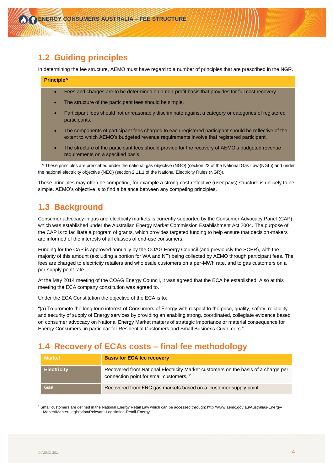#### <span id="page-3-0"></span>**1.2 Guiding principles**

In determining the fee structure, AEMO must have regard to a number of principles that are prescribed in the NGR.

#### **Principle^**

- Fees and charges are to be determined on a non-profit basis that provides for full cost recovery.
- The structure of the participant fees should be simple.
- Participant fees should not unreasonably discriminate against a category or categories of registered participants.
- The components of participant fees charged to each registered participant should be reflective of the extent to which AEMO's budgeted revenue requirements involve that registered participant.
- The structure of the participant fees should provide for the recovery of AEMO's budgeted revenue requirements on a specified basis.

 ^ These principles are prescribed under the national gas objective (NGO) (section 23 of the National Gas Law (NGL)) and under the national electricity objective (NEO) (section 2.11.1 of the National Electricity Rules (NGR)).

These principles may often be competing, for example a strong cost-reflective (user pays) structure is unlikely to be simple. AEMO's objective is to find a balance between any competing principles.

#### <span id="page-3-1"></span>**1.3 Background**

Consumer advocacy in gas and electricity markets is currently supported by the Consumer Advocacy Panel (CAP), which was established under the Australian Energy Market Commission Establishment Act 2004. The purpose of the CAP is to facilitate a program of grants, which provides targeted funding to help ensure that decision-makers are informed of the interests of all classes of end-use consumers.

Funding for the CAP is approved annually by the COAG Energy Council (and previously the SCER), with the majority of this amount (excluding a portion for WA and NT) being collected by AEMO through participant fees. The fees are charged to electricity retailers and wholesale customers on a per-MWh rate, and to gas customers on a per-supply point rate.

At the May 2014 meeting of the COAG Energy Council, it was agreed that the ECA be established. Also at this meeting the ECA company constitution was agreed to.

Under the ECA Constitution the objective of the ECA is to:

"(a) To promote the long term interest of Consumers of Energy with respect to the price, quality, safety, reliability and security of supply of Energy services by providing an enabling strong, coordinated, collegiate evidence based on consumer advocacy on National Energy Market matters of strategic importance or material consequence for Energy Consumers, in particular for Residential Customers and Small Business Customers."

#### <span id="page-3-2"></span>**1.4 Recovery of ECAs costs – final fee methodology**

| <b>Market</b>      | <b>Basis for ECA fee recovery</b>                                                                                                       |
|--------------------|-----------------------------------------------------------------------------------------------------------------------------------------|
| <b>Electricity</b> | Recovered from National Electricity Market customers on the basis of a charge per<br>connection point for small customers. <sup>2</sup> |
| Gas                | Recovered from FRC gas markets based on a 'customer supply point'.                                                                      |

<sup>2</sup> Small customers are defined in the National Energy Retail Law which can be accessed through[: http://www.aemc.gov.au/Australias-Energy-](http://www.aemc.gov.au/Australias-Energy-Market/Market-Legislation/Relevant-Legislation-Retail-Energy)Market/Market-Legislation/Relevant-Legislation-Retail-Energy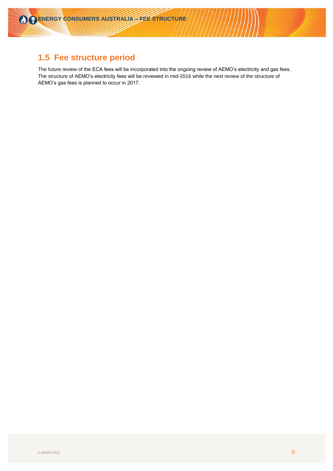## <span id="page-4-0"></span>**1.5 Fee structure period**

The future review of the ECA fees will be incorporated into the ongoing review of AEMO's electricity and gas fees. The structure of AEMO's electricity fees will be reviewed in mid-2016 while the next review of the structure of AEMO's gas fees is planned to occur in 2017.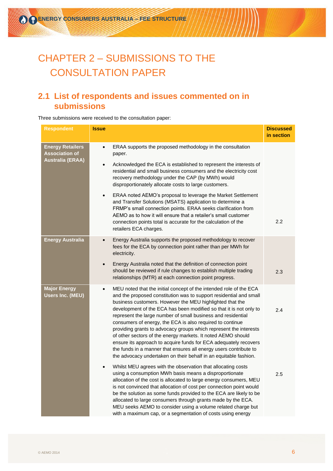# <span id="page-5-0"></span>CHAPTER 2 – SUBMISSIONS TO THE CONSULTATION PAPER

## <span id="page-5-1"></span>**2.1 List of respondents and issues commented on in submissions**

Three submissions were received to the consultation paper:

| <b>Respondent</b>                                | <b>Issue</b> |                                                                                                                                                                                                                                                                                                                                                                                                                                                                                                                                                                                                                                                                                                                                                           | <b>Discussed</b><br>in section |
|--------------------------------------------------|--------------|-----------------------------------------------------------------------------------------------------------------------------------------------------------------------------------------------------------------------------------------------------------------------------------------------------------------------------------------------------------------------------------------------------------------------------------------------------------------------------------------------------------------------------------------------------------------------------------------------------------------------------------------------------------------------------------------------------------------------------------------------------------|--------------------------------|
| <b>Energy Retailers</b><br><b>Association of</b> | $\bullet$    | ERAA supports the proposed methodology in the consultation<br>paper.                                                                                                                                                                                                                                                                                                                                                                                                                                                                                                                                                                                                                                                                                      |                                |
| <b>Australia (ERAA)</b>                          | $\bullet$    | Acknowledged the ECA is established to represent the interests of<br>residential and small business consumers and the electricity cost<br>recovery methodology under the CAP (by MWh) would<br>disproportionately allocate costs to large customers.                                                                                                                                                                                                                                                                                                                                                                                                                                                                                                      |                                |
|                                                  |              | ERAA noted AEMO's proposal to leverage the Market Settlement<br>and Transfer Solutions (MSATS) application to determine a<br>FRMP's small connection points. ERAA seeks clarification from<br>AEMO as to how it will ensure that a retailer's small customer<br>connection points total is accurate for the calculation of the<br>retailers ECA charges.                                                                                                                                                                                                                                                                                                                                                                                                  | 2.2                            |
| <b>Energy Australia</b>                          | $\bullet$    | Energy Australia supports the proposed methodology to recover<br>fees for the ECA by connection point rather than per MWh for<br>electricity.                                                                                                                                                                                                                                                                                                                                                                                                                                                                                                                                                                                                             |                                |
|                                                  | $\bullet$    | Energy Australia noted that the definition of connection point<br>should be reviewed if rule changes to establish multiple trading<br>relationships (MTR) at each connection point progress.                                                                                                                                                                                                                                                                                                                                                                                                                                                                                                                                                              | 2.3                            |
| <b>Major Energy</b><br><b>Users Inc. (MEU)</b>   | $\bullet$    | MEU noted that the initial concept of the intended role of the ECA<br>and the proposed constitution was to support residential and small<br>business customers. However the MEU highlighted that the<br>development of the ECA has been modified so that it is not only to<br>represent the large number of small business and residential<br>consumers of energy, the ECA is also required to continue<br>providing grants to advocacy groups which represent the interests<br>of other sectors of the energy markets. It noted AEMO should<br>ensure its approach to acquire funds for ECA adequately recovers<br>the funds in a manner that ensures all energy users contribute to<br>the advocacy undertaken on their behalf in an equitable fashion. | 2.4                            |
|                                                  |              | Whilst MEU agrees with the observation that allocating costs<br>using a consumption MWh basis means a disproportionate<br>allocation of the cost is allocated to large energy consumers, MEU<br>is not convinced that allocation of cost per connection point would<br>be the solution as some funds provided to the ECA are likely to be<br>allocated to large consumers through grants made by the ECA.<br>MEU seeks AEMO to consider using a volume related charge but<br>with a maximum cap, or a segmentation of costs using energy                                                                                                                                                                                                                  | 2.5                            |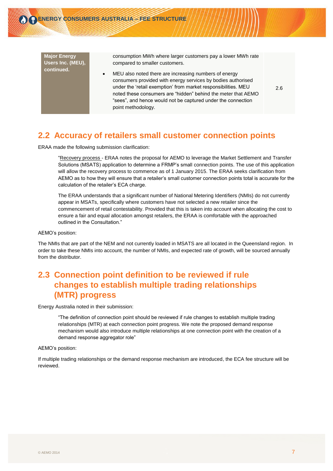

2.6

#### <span id="page-6-0"></span>**2.2 Accuracy of retailers small customer connection points**

ERAA made the following submission clarification:

"Recovery process - ERAA notes the proposal for AEMO to leverage the Market Settlement and Transfer Solutions (MSATS) application to determine a FRMP's small connection points. The use of this application will allow the recovery process to commence as of 1 January 2015. The ERAA seeks clarification from AEMO as to how they will ensure that a retailer's small customer connection points total is accurate for the calculation of the retailer's ECA charge.

The ERAA understands that a significant number of National Metering Identifiers (NMIs) do not currently appear in MSATs, specifically where customers have not selected a new retailer since the commencement of retail contestability. Provided that this is taken into account when allocating the cost to ensure a fair and equal allocation amongst retailers, the ERAA is comfortable with the approached outlined in the Consultation."

AEMO's position:

The NMIs that are part of the NEM and not currently loaded in MSATS are all located in the Queensland region. In order to take these NMIs into account, the number of NMIs, and expected rate of growth, will be sourced annually from the distributor.

#### <span id="page-6-1"></span>**2.3 Connection point definition to be reviewed if rule changes to establish multiple trading relationships (MTR) progress**

Energy Australia noted in their submission:

"The definition of connection point should be reviewed if rule changes to establish multiple trading relationships (MTR) at each connection point progress. We note the proposed demand response mechanism would also introduce multiple relationships at one connection point with the creation of a demand response aggregator role"

AEMO's position:

If multiple trading relationships or the demand response mechanism are introduced, the ECA fee structure will be reviewed.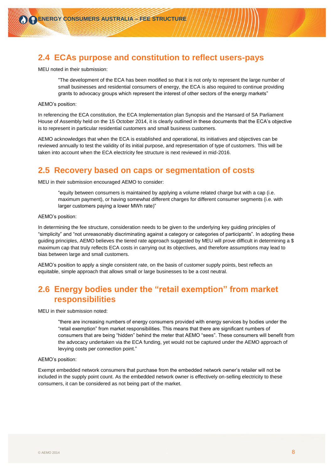#### <span id="page-7-0"></span>**2.4 ECAs purpose and constitution to reflect users-pays**

MEU noted in their submission:

"The development of the ECA has been modified so that it is not only to represent the large number of small businesses and residential consumers of energy, the ECA is also required to continue providing grants to advocacy groups which represent the interest of other sectors of the energy markets"

#### AEMO's position:

In referencing the ECA constitution, the ECA Implementation plan Synopsis and the Hansard of SA Parliament House of Assembly held on the 15 October 2014, it is clearly outlined in these documents that the ECA's objective is to represent in particular residential customers and small business customers.

AEMO acknowledges that when the ECA is established and operational, its initiatives and objectives can be reviewed annually to test the validity of its initial purpose, and representation of type of customers. This will be taken into account when the ECA electricity fee structure is next reviewed in mid-2016.

#### <span id="page-7-1"></span>**2.5 Recovery based on caps or segmentation of costs**

MEU in their submission encouraged AEMO to consider:

"equity between consumers is maintained by applying a volume related charge but with a cap (i.e. maximum payment), or having somewhat different charges for different consumer segments (i.e. with larger customers paying a lower MWh rate)"

AEMO's position:

In determining the fee structure, consideration needs to be given to the underlying key guiding principles of "simplicity" and "not unreasonably discriminating against a category or categories of participants". In adopting these guiding principles, AEMO believes the tiered rate approach suggested by MEU will prove difficult in determining a \$ maximum cap that truly reflects ECA costs in carrying out its objectives, and therefore assumptions may lead to bias between large and small customers.

AEMO's position to apply a single consistent rate, on the basis of customer supply points, best reflects an equitable, simple approach that allows small or large businesses to be a cost neutral.

#### <span id="page-7-2"></span>**2.6 Energy bodies under the "retail exemption" from market responsibilities**

MEU in their submission noted:

"there are increasing numbers of energy consumers provided with energy services by bodies under the "retail exemption" from market responsibilities. This means that there are significant numbers of consumers that are being "hidden" behind the meter that AEMO "sees". These consumers will benefit from the advocacy undertaken via the ECA funding, yet would not be captured under the AEMO approach of levying costs per connection point."

#### AEMO's position:

Exempt embedded network consumers that purchase from the embedded network owner's retailer will not be included in the supply point count. As the embedded network owner is effectively on-selling electricity to these consumers, it can be considered as not being part of the market.